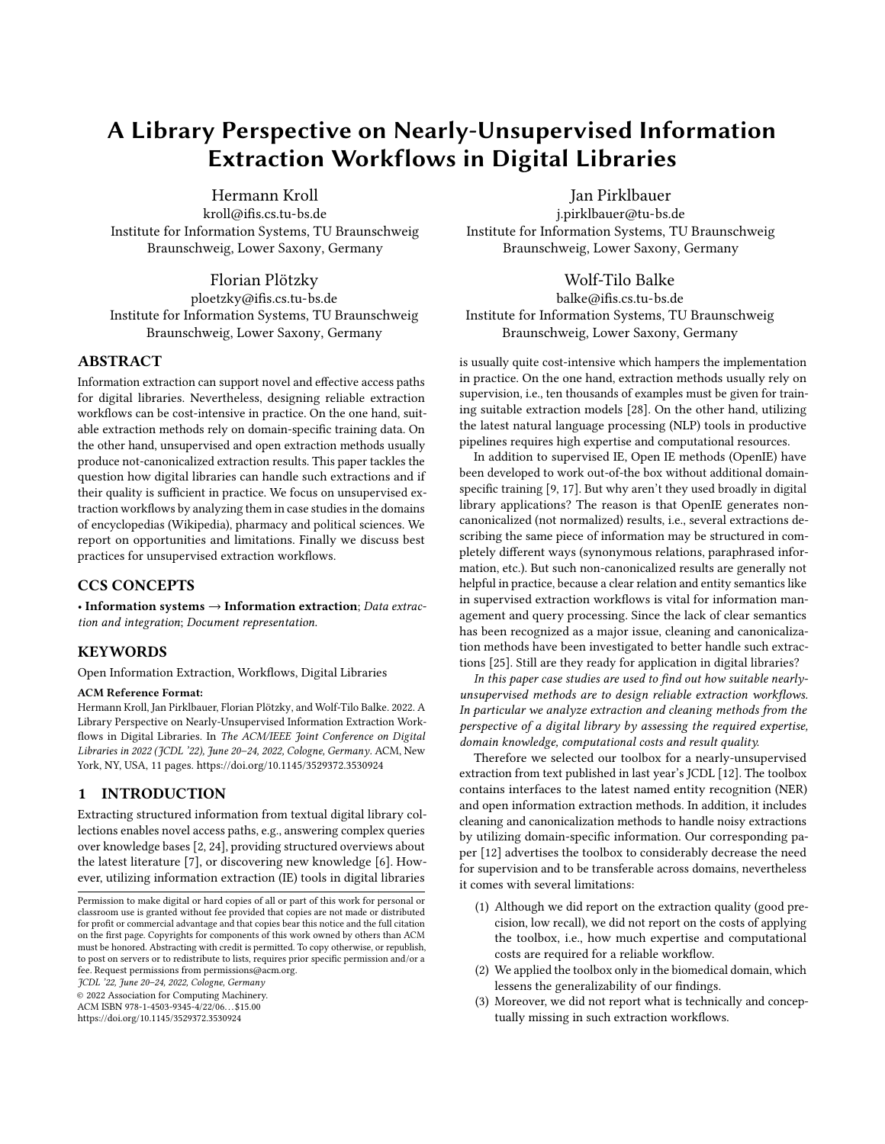# A Library Perspective on Nearly-Unsupervised Information Extraction Workflows in Digital Libraries

[Hermann Kroll](https://orcid.org/0000-0001-9887-9276)

kroll@ifis.cs.tu-bs.de Institute for Information Systems, TU Braunschweig Braunschweig, Lower Saxony, Germany

[Florian Plötzky](https://orcid.org/0000-0002-4112-3192)

ploetzky@ifis.cs.tu-bs.de Institute for Information Systems, TU Braunschweig Braunschweig, Lower Saxony, Germany

# ABSTRACT

Information extraction can support novel and effective access paths for digital libraries. Nevertheless, designing reliable extraction workflows can be cost-intensive in practice. On the one hand, suitable extraction methods rely on domain-specific training data. On the other hand, unsupervised and open extraction methods usually produce not-canonicalized extraction results. This paper tackles the question how digital libraries can handle such extractions and if their quality is sufficient in practice. We focus on unsupervised extraction workflows by analyzing them in case studies in the domains of encyclopedias (Wikipedia), pharmacy and political sciences. We report on opportunities and limitations. Finally we discuss best practices for unsupervised extraction workflows.

# CCS CONCEPTS

• Information systems  $\rightarrow$  Information extraction; Data extraction and integration; Document representation.

# **KEYWORDS**

Open Information Extraction, Workflows, Digital Libraries

#### ACM Reference Format:

Hermann Kroll, Jan Pirklbauer, Florian Plötzky, and Wolf-Tilo Balke. 2022. A Library Perspective on Nearly-Unsupervised Information Extraction Workflows in Digital Libraries. In The ACM/IEEE Joint Conference on Digital Libraries in 2022 (JCDL '22), June 20-24, 2022, Cologne, Germany. ACM, New York, NY, USA, [11](#page-10-0) pages.<https://doi.org/10.1145/3529372.3530924>

# 1 INTRODUCTION

Extracting structured information from textual digital library collections enables novel access paths, e.g., answering complex queries over knowledge bases [\[2,](#page-10-1) [24\]](#page-10-2), providing structured overviews about the latest literature [\[7\]](#page-10-3), or discovering new knowledge [\[6\]](#page-10-4). However, utilizing information extraction (IE) tools in digital libraries

JCDL '22, June 20–24, 2022, Cologne, Germany

© 2022 Association for Computing Machinery.

ACM ISBN 978-1-4503-9345-4/22/06. . . \$15.00

<https://doi.org/10.1145/3529372.3530924>

Jan Pirklbauer

j.pirklbauer@tu-bs.de Institute for Information Systems, TU Braunschweig Braunschweig, Lower Saxony, Germany

# [Wolf-Tilo Balke](https://orcid.org/0000-0002-5443-1215)

balke@ifis.cs.tu-bs.de Institute for Information Systems, TU Braunschweig Braunschweig, Lower Saxony, Germany

is usually quite cost-intensive which hampers the implementation in practice. On the one hand, extraction methods usually rely on supervision, i.e., ten thousands of examples must be given for training suitable extraction models [\[28\]](#page-10-5). On the other hand, utilizing the latest natural language processing (NLP) tools in productive pipelines requires high expertise and computational resources.

In addition to supervised IE, Open IE methods (OpenIE) have been developed to work out-of-the box without additional domainspecific training [\[9,](#page-10-6) [17\]](#page-10-7). But why aren't they used broadly in digital library applications? The reason is that OpenIE generates noncanonicalized (not normalized) results, i.e., several extractions describing the same piece of information may be structured in completely different ways (synonymous relations, paraphrased information, etc.). But such non-canonicalized results are generally not helpful in practice, because a clear relation and entity semantics like in supervised extraction workflows is vital for information management and query processing. Since the lack of clear semantics has been recognized as a major issue, cleaning and canonicalization methods have been investigated to better handle such extractions [\[25\]](#page-10-8). Still are they ready for application in digital libraries?

In this paper case studies are used to find out how suitable nearlyunsupervised methods are to design reliable extraction workflows. In particular we analyze extraction and cleaning methods from the perspective of a digital library by assessing the required expertise, domain knowledge, computational costs and result quality.

Therefore we selected our toolbox for a nearly-unsupervised extraction from text published in last year's JCDL [\[12\]](#page-10-9). The toolbox contains interfaces to the latest named entity recognition (NER) and open information extraction methods. In addition, it includes cleaning and canonicalization methods to handle noisy extractions by utilizing domain-specific information. Our corresponding paper [\[12\]](#page-10-9) advertises the toolbox to considerably decrease the need for supervision and to be transferable across domains, nevertheless it comes with several limitations:

- (1) Although we did report on the extraction quality (good precision, low recall), we did not report on the costs of applying the toolbox, i.e., how much expertise and computational costs are required for a reliable workflow.
- (2) We applied the toolbox only in the biomedical domain, which lessens the generalizability of our findings.
- (3) Moreover, we did not report what is technically and conceptually missing in such extraction workflows.

Permission to make digital or hard copies of all or part of this work for personal or classroom use is granted without fee provided that copies are not made or distributed for profit or commercial advantage and that copies bear this notice and the full citation on the first page. Copyrights for components of this work owned by others than ACM must be honored. Abstracting with credit is permitted. To copy otherwise, or republish, to post on servers or to redistribute to lists, requires prior specific permission and/or a fee. Request permissions from permissions@acm.org.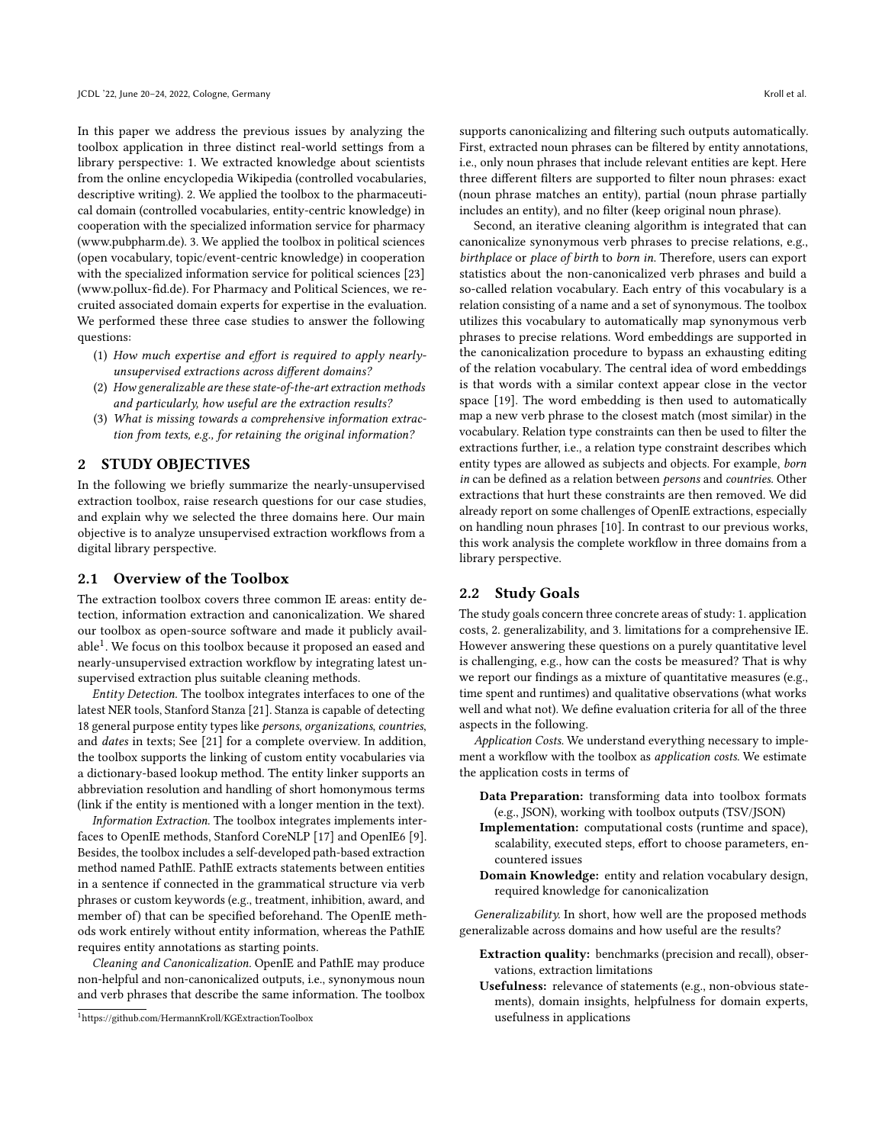In this paper we address the previous issues by analyzing the toolbox application in three distinct real-world settings from a library perspective: 1. We extracted knowledge about scientists from the online encyclopedia Wikipedia (controlled vocabularies, descriptive writing). 2. We applied the toolbox to the pharmaceutical domain (controlled vocabularies, entity-centric knowledge) in cooperation with the specialized information service for pharmacy [\(www.pubpharm.de\)](www.pubpharm.de). 3. We applied the toolbox in political sciences (open vocabulary, topic/event-centric knowledge) in cooperation with the specialized information service for political sciences [\[23\]](#page-10-10) [\(www.pollux-fid.de\)](www.pollux-fid.de). For Pharmacy and Political Sciences, we recruited associated domain experts for expertise in the evaluation. We performed these three case studies to answer the following questions:

- (1) How much expertise and effort is required to apply nearlyunsupervised extractions across different domains?
- (2) How generalizable are these state-of-the-art extraction methods and particularly, how useful are the extraction results?
- (3) What is missing towards a comprehensive information extraction from texts, e.g., for retaining the original information?

### 2 STUDY OBJECTIVES

In the following we briefly summarize the nearly-unsupervised extraction toolbox, raise research questions for our case studies, and explain why we selected the three domains here. Our main objective is to analyze unsupervised extraction workflows from a digital library perspective.

#### 2.1 Overview of the Toolbox

The extraction toolbox covers three common IE areas: entity detection, information extraction and canonicalization. We shared our toolbox as open-source software and made it publicly avail-able<sup>[1](#page-1-0)</sup>. We focus on this toolbox because it proposed an eased and nearly-unsupervised extraction workflow by integrating latest unsupervised extraction plus suitable cleaning methods.

Entity Detection. The toolbox integrates interfaces to one of the latest NER tools, Stanford Stanza [\[21\]](#page-10-11). Stanza is capable of detecting 18 general purpose entity types like persons, organizations, countries, and dates in texts; See [\[21\]](#page-10-11) for a complete overview. In addition, the toolbox supports the linking of custom entity vocabularies via a dictionary-based lookup method. The entity linker supports an abbreviation resolution and handling of short homonymous terms (link if the entity is mentioned with a longer mention in the text).

Information Extraction. The toolbox integrates implements interfaces to OpenIE methods, Stanford CoreNLP [\[17\]](#page-10-7) and OpenIE6 [\[9\]](#page-10-6). Besides, the toolbox includes a self-developed path-based extraction method named PathIE. PathIE extracts statements between entities in a sentence if connected in the grammatical structure via verb phrases or custom keywords (e.g., treatment, inhibition, award, and member of) that can be specified beforehand. The OpenIE methods work entirely without entity information, whereas the PathIE requires entity annotations as starting points.

Cleaning and Canonicalization. OpenIE and PathIE may produce non-helpful and non-canonicalized outputs, i.e., synonymous noun and verb phrases that describe the same information. The toolbox supports canonicalizing and filtering such outputs automatically. First, extracted noun phrases can be filtered by entity annotations, i.e., only noun phrases that include relevant entities are kept. Here three different filters are supported to filter noun phrases: exact (noun phrase matches an entity), partial (noun phrase partially includes an entity), and no filter (keep original noun phrase).

Second, an iterative cleaning algorithm is integrated that can canonicalize synonymous verb phrases to precise relations, e.g., birthplace or place of birth to born in. Therefore, users can export statistics about the non-canonicalized verb phrases and build a so-called relation vocabulary. Each entry of this vocabulary is a relation consisting of a name and a set of synonymous. The toolbox utilizes this vocabulary to automatically map synonymous verb phrases to precise relations. Word embeddings are supported in the canonicalization procedure to bypass an exhausting editing of the relation vocabulary. The central idea of word embeddings is that words with a similar context appear close in the vector space [\[19\]](#page-10-12). The word embedding is then used to automatically map a new verb phrase to the closest match (most similar) in the vocabulary. Relation type constraints can then be used to filter the extractions further, i.e., a relation type constraint describes which entity types are allowed as subjects and objects. For example, born in can be defined as a relation between persons and countries. Other extractions that hurt these constraints are then removed. We did already report on some challenges of OpenIE extractions, especially on handling noun phrases [\[10\]](#page-10-13). In contrast to our previous works, this work analysis the complete workflow in three domains from a library perspective.

# 2.2 Study Goals

The study goals concern three concrete areas of study: 1. application costs, 2. generalizability, and 3. limitations for a comprehensive IE. However answering these questions on a purely quantitative level is challenging, e.g., how can the costs be measured? That is why we report our findings as a mixture of quantitative measures (e.g., time spent and runtimes) and qualitative observations (what works well and what not). We define evaluation criteria for all of the three aspects in the following.

Application Costs. We understand everything necessary to implement a workflow with the toolbox as application costs. We estimate the application costs in terms of

- Data Preparation: transforming data into toolbox formats (e.g., JSON), working with toolbox outputs (TSV/JSON)
- Implementation: computational costs (runtime and space), scalability, executed steps, effort to choose parameters, encountered issues
- Domain Knowledge: entity and relation vocabulary design, required knowledge for canonicalization

Generalizability. In short, how well are the proposed methods generalizable across domains and how useful are the results?

- Extraction quality: benchmarks (precision and recall), observations, extraction limitations
- Usefulness: relevance of statements (e.g., non-obvious statements), domain insights, helpfulness for domain experts, usefulness in applications

<span id="page-1-0"></span><sup>1</sup><https://github.com/HermannKroll/KGExtractionToolbox>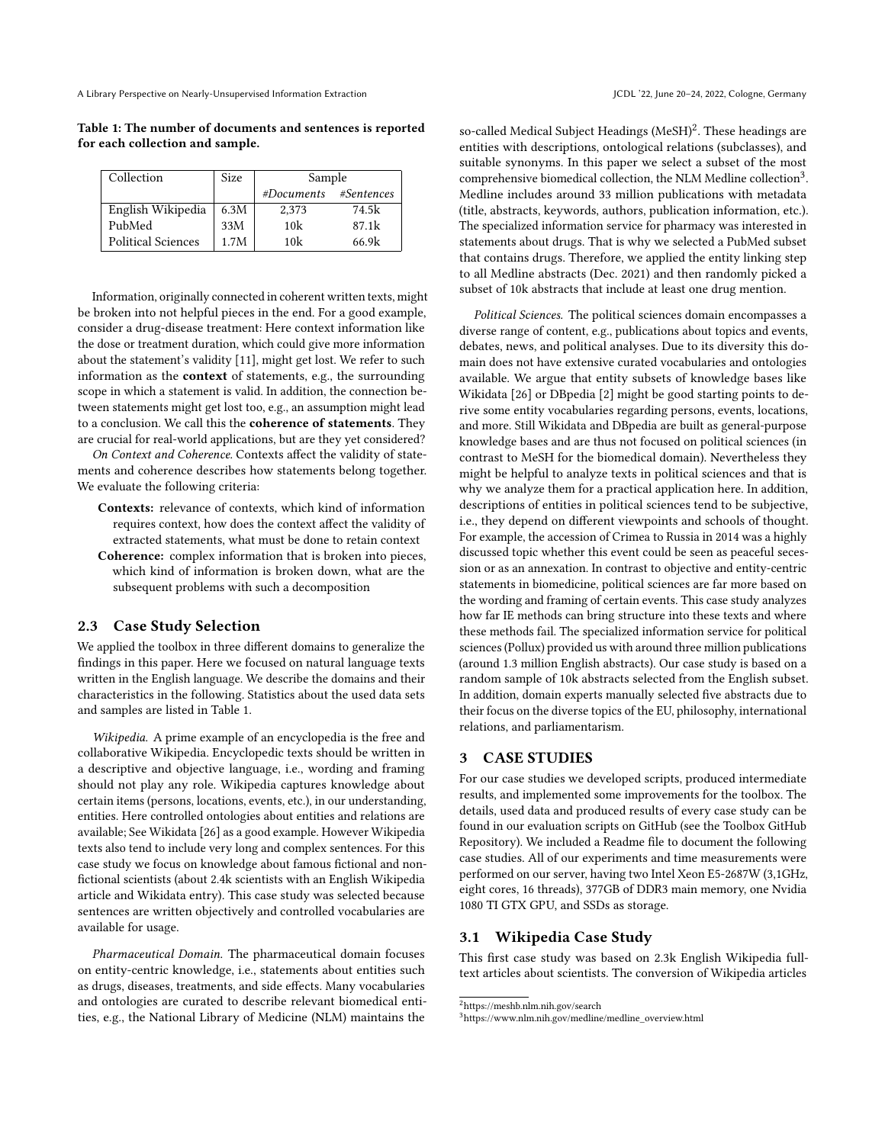A Library Perspective on Nearly-Unsupervised Information Extraction June 2008 and Section June 20–24, 2022, Cologne, Germany

<span id="page-2-0"></span>Table 1: The number of documents and sentences is reported for each collection and sample.

| Collection                | Size | Sample                |                   |  |
|---------------------------|------|-----------------------|-------------------|--|
|                           |      | #Documents #Sentences |                   |  |
| English Wikipedia         | 6.3M | 2,373                 | 74.5k             |  |
| PubMed                    | 33M  | 10 <sub>k</sub>       | 87.1 <sub>k</sub> |  |
| <b>Political Sciences</b> | 1.7M | 10k                   | 66.9k             |  |

Information, originally connected in coherent written texts, might be broken into not helpful pieces in the end. For a good example, consider a drug-disease treatment: Here context information like the dose or treatment duration, which could give more information about the statement's validity [\[11\]](#page-10-14), might get lost. We refer to such information as the context of statements, e.g., the surrounding scope in which a statement is valid. In addition, the connection between statements might get lost too, e.g., an assumption might lead to a conclusion. We call this the coherence of statements. They are crucial for real-world applications, but are they yet considered?

On Context and Coherence. Contexts affect the validity of statements and coherence describes how statements belong together. We evaluate the following criteria:

- Contexts: relevance of contexts, which kind of information requires context, how does the context affect the validity of extracted statements, what must be done to retain context Coherence: complex information that is broken into pieces,
- which kind of information is broken down, what are the subsequent problems with such a decomposition

# 2.3 Case Study Selection

We applied the toolbox in three different domains to generalize the findings in this paper. Here we focused on natural language texts written in the English language. We describe the domains and their characteristics in the following. Statistics about the used data sets and samples are listed in Table [1.](#page-2-0)

Wikipedia. A prime example of an encyclopedia is the free and collaborative Wikipedia. Encyclopedic texts should be written in a descriptive and objective language, i.e., wording and framing should not play any role. Wikipedia captures knowledge about certain items (persons, locations, events, etc.), in our understanding, entities. Here controlled ontologies about entities and relations are available; See Wikidata [\[26\]](#page-10-15) as a good example. However Wikipedia texts also tend to include very long and complex sentences. For this case study we focus on knowledge about famous fictional and nonfictional scientists (about 2.4k scientists with an English Wikipedia article and Wikidata entry). This case study was selected because sentences are written objectively and controlled vocabularies are available for usage.

Pharmaceutical Domain. The pharmaceutical domain focuses on entity-centric knowledge, i.e., statements about entities such as drugs, diseases, treatments, and side effects. Many vocabularies and ontologies are curated to describe relevant biomedical entities, e.g., the National Library of Medicine (NLM) maintains the

so-called Medical Subject Headings (MeSH) $^2$  $^2$ . These headings are entities with descriptions, ontological relations (subclasses), and suitable synonyms. In this paper we select a subset of the most comprehensive biomedical collection, the NLM Medline collection<sup>[3](#page-2-2)</sup>. Medline includes around 33 million publications with metadata (title, abstracts, keywords, authors, publication information, etc.). The specialized information service for pharmacy was interested in statements about drugs. That is why we selected a PubMed subset that contains drugs. Therefore, we applied the entity linking step to all Medline abstracts (Dec. 2021) and then randomly picked a subset of 10k abstracts that include at least one drug mention.

Political Sciences. The political sciences domain encompasses a diverse range of content, e.g., publications about topics and events, debates, news, and political analyses. Due to its diversity this domain does not have extensive curated vocabularies and ontologies available. We argue that entity subsets of knowledge bases like Wikidata [\[26\]](#page-10-15) or DBpedia [\[2\]](#page-10-1) might be good starting points to derive some entity vocabularies regarding persons, events, locations, and more. Still Wikidata and DBpedia are built as general-purpose knowledge bases and are thus not focused on political sciences (in contrast to MeSH for the biomedical domain). Nevertheless they might be helpful to analyze texts in political sciences and that is why we analyze them for a practical application here. In addition, descriptions of entities in political sciences tend to be subjective, i.e., they depend on different viewpoints and schools of thought. For example, the accession of Crimea to Russia in 2014 was a highly discussed topic whether this event could be seen as peaceful secession or as an annexation. In contrast to objective and entity-centric statements in biomedicine, political sciences are far more based on the wording and framing of certain events. This case study analyzes how far IE methods can bring structure into these texts and where these methods fail. The specialized information service for political sciences (Pollux) provided us with around three million publications (around 1.3 million English abstracts). Our case study is based on a random sample of 10k abstracts selected from the English subset. In addition, domain experts manually selected five abstracts due to their focus on the diverse topics of the EU, philosophy, international relations, and parliamentarism.

#### 3 CASE STUDIES

For our case studies we developed scripts, produced intermediate results, and implemented some improvements for the toolbox. The details, used data and produced results of every case study can be found in our evaluation scripts on GitHub (see the Toolbox GitHub Repository). We included a Readme file to document the following case studies. All of our experiments and time measurements were performed on our server, having two Intel Xeon E5-2687W (3,1GHz, eight cores, 16 threads), 377GB of DDR3 main memory, one Nvidia 1080 TI GTX GPU, and SSDs as storage.

# 3.1 Wikipedia Case Study

This first case study was based on 2.3k English Wikipedia fulltext articles about scientists. The conversion of Wikipedia articles

<span id="page-2-1"></span> $^2$ <https://meshb.nlm.nih.gov/search>

<span id="page-2-2"></span><sup>3</sup>[https://www.nlm.nih.gov/medline/medline\\_overview.html](https://www.nlm.nih.gov/medline/medline_overview.html)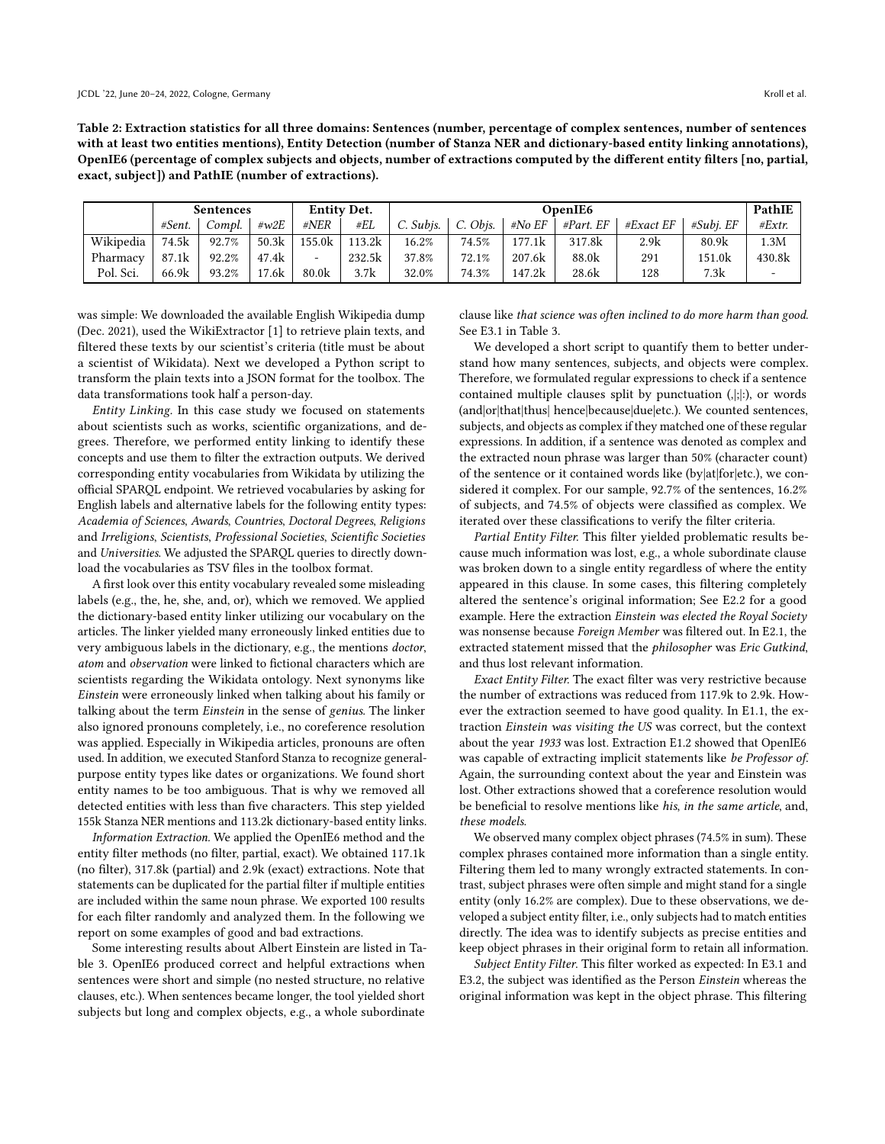Table 2: Extraction statistics for all three domains: Sentences (number, percentage of complex sentences, number of sentences with at least two entities mentions), Entity Detection (number of Stanza NER and dictionary-based entity linking annotations), OpenIE6 (percentage of complex subjects and objects, number of extractions computed by the different entity filters [no, partial, exact, subject]) and PathIE (number of extractions).

|           | <b>Sentences</b> |        |       | <b>Entity Det.</b>       |        | OpenIE6             |                  |        |               |             | PathIE       |                          |
|-----------|------------------|--------|-------|--------------------------|--------|---------------------|------------------|--------|---------------|-------------|--------------|--------------------------|
|           | #Sent.           | Compl. | #w2E  | #NER                     | #EL    | $C.$ Subis. $\vert$ | $\circ$ C. Obis. | #No EF | $\#Part$ . EF | #Exact $EF$ | $#Subi$ . EF | #Extr.                   |
| Wikipedia | 74.5k            | 92.7%  | 50.3k | 155.0k                   | 113.2k | 16.2%               | $74.5\%$         | 177.1k | 317.8k        | 2.9k        | 80.9k        | 1.3M                     |
| Pharmacy  | 87.1k            | 92.2%  | 47.4k | $\overline{\phantom{a}}$ | 232.5k | 37.8%               | 72.1%            | 207.6k | 88.0k         | 291         | 151.0k       | 430.8k                   |
| Pol. Sci. | 66.9k            | 93.2%  | 17.6k | 80.0 <sub>k</sub>        | 3.7k   | 32.0%               | 74.3%            | 147.2k | 28.6k         | 128         | 7.3k         | $\overline{\phantom{a}}$ |

was simple: We downloaded the available English Wikipedia dump (Dec. 2021), used the WikiExtractor [\[1\]](#page-10-16) to retrieve plain texts, and filtered these texts by our scientist's criteria (title must be about a scientist of Wikidata). Next we developed a Python script to transform the plain texts into a JSON format for the toolbox. The data transformations took half a person-day.

Entity Linking. In this case study we focused on statements about scientists such as works, scientific organizations, and degrees. Therefore, we performed entity linking to identify these concepts and use them to filter the extraction outputs. We derived corresponding entity vocabularies from Wikidata by utilizing the official SPARQL endpoint. We retrieved vocabularies by asking for English labels and alternative labels for the following entity types: Academia of Sciences, Awards, Countries, Doctoral Degrees, Religions and Irreligions, Scientists, Professional Societies, Scientific Societies and Universities. We adjusted the SPARQL queries to directly download the vocabularies as TSV files in the toolbox format.

A first look over this entity vocabulary revealed some misleading labels (e.g., the, he, she, and, or), which we removed. We applied the dictionary-based entity linker utilizing our vocabulary on the articles. The linker yielded many erroneously linked entities due to very ambiguous labels in the dictionary, e.g., the mentions doctor, atom and observation were linked to fictional characters which are scientists regarding the Wikidata ontology. Next synonyms like Einstein were erroneously linked when talking about his family or talking about the term Einstein in the sense of genius. The linker also ignored pronouns completely, i.e., no coreference resolution was applied. Especially in Wikipedia articles, pronouns are often used. In addition, we executed Stanford Stanza to recognize generalpurpose entity types like dates or organizations. We found short entity names to be too ambiguous. That is why we removed all detected entities with less than five characters. This step yielded 155k Stanza NER mentions and 113.2k dictionary-based entity links.

Information Extraction. We applied the OpenIE6 method and the entity filter methods (no filter, partial, exact). We obtained 117.1k (no filter), 317.8k (partial) and 2.9k (exact) extractions. Note that statements can be duplicated for the partial filter if multiple entities are included within the same noun phrase. We exported 100 results for each filter randomly and analyzed them. In the following we report on some examples of good and bad extractions.

Some interesting results about Albert Einstein are listed in Table [3.](#page-4-0) OpenIE6 produced correct and helpful extractions when sentences were short and simple (no nested structure, no relative clauses, etc.). When sentences became longer, the tool yielded short subjects but long and complex objects, e.g., a whole subordinate

clause like that science was often inclined to do more harm than good. See E3.1 in Table [3.](#page-4-0)

We developed a short script to quantify them to better understand how many sentences, subjects, and objects were complex. Therefore, we formulated regular expressions to check if a sentence contained multiple clauses split by punctuation (,|;|:), or words (and|or|that|thus| hence|because|due|etc.). We counted sentences, subjects, and objects as complex if they matched one of these regular expressions. In addition, if a sentence was denoted as complex and the extracted noun phrase was larger than 50% (character count) of the sentence or it contained words like (by|at|for|etc.), we considered it complex. For our sample, 92.7% of the sentences, 16.2% of subjects, and 74.5% of objects were classified as complex. We iterated over these classifications to verify the filter criteria.

Partial Entity Filter. This filter yielded problematic results because much information was lost, e.g., a whole subordinate clause was broken down to a single entity regardless of where the entity appeared in this clause. In some cases, this filtering completely altered the sentence's original information; See E2.2 for a good example. Here the extraction Einstein was elected the Royal Society was nonsense because Foreign Member was filtered out. In E2.1, the extracted statement missed that the philosopher was Eric Gutkind, and thus lost relevant information.

Exact Entity Filter. The exact filter was very restrictive because the number of extractions was reduced from 117.9k to 2.9k. However the extraction seemed to have good quality. In E1.1, the extraction Einstein was visiting the US was correct, but the context about the year 1933 was lost. Extraction E1.2 showed that OpenIE6 was capable of extracting implicit statements like be Professor of. Again, the surrounding context about the year and Einstein was lost. Other extractions showed that a coreference resolution would be beneficial to resolve mentions like his, in the same article, and, these models.

We observed many complex object phrases (74.5% in sum). These complex phrases contained more information than a single entity. Filtering them led to many wrongly extracted statements. In contrast, subject phrases were often simple and might stand for a single entity (only 16.2% are complex). Due to these observations, we developed a subject entity filter, i.e., only subjects had to match entities directly. The idea was to identify subjects as precise entities and keep object phrases in their original form to retain all information.

Subject Entity Filter. This filter worked as expected: In E3.1 and E3.2, the subject was identified as the Person Einstein whereas the original information was kept in the object phrase. This filtering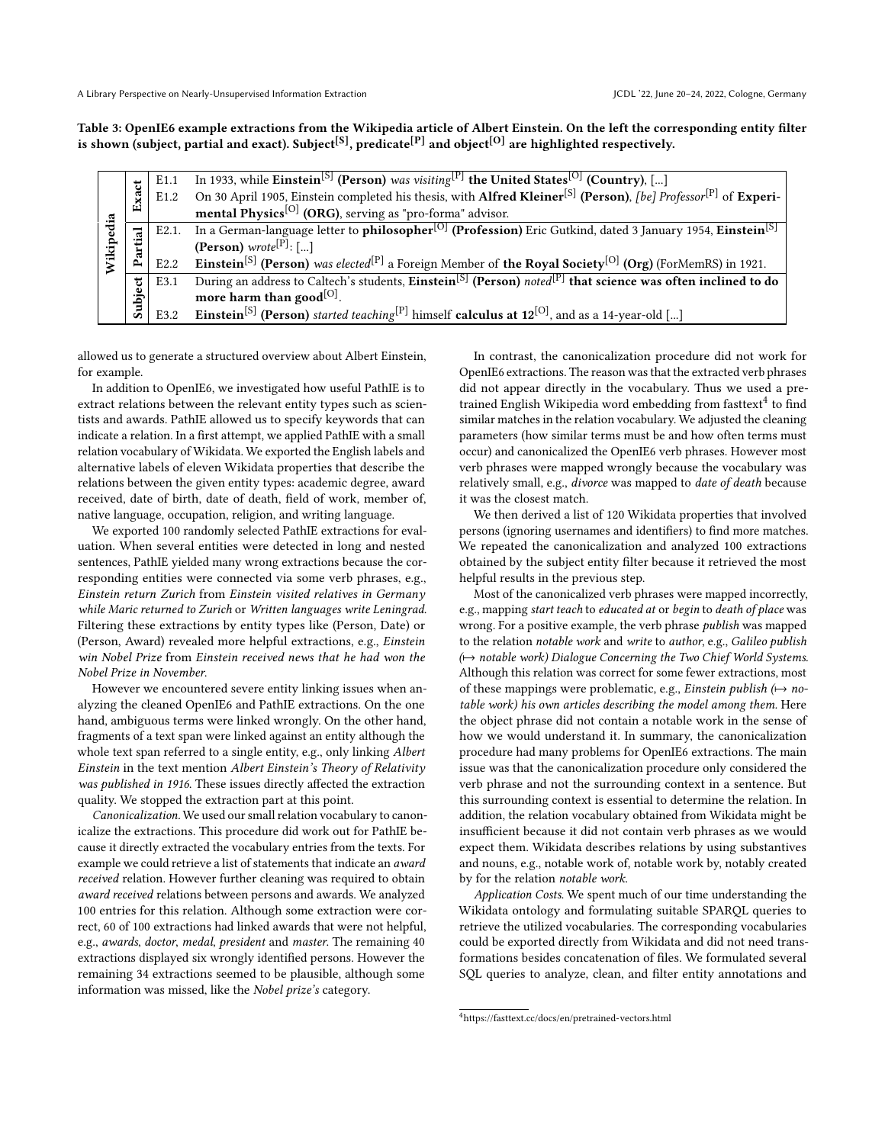<span id="page-4-0"></span>Table 3: OpenIE6 example extractions from the Wikipedia article of Albert Einstein. On the left the corresponding entity filter is shown (subject, partial and exact). Subject<sup>[S]</sup>, predicate<sup>[P]</sup> and object<sup>[O]</sup> are highlighted respectively.

|        |         | E1.1             | In 1933, while Einstein <sup>[S]</sup> (Person) was visiting <sup>[P]</sup> the United States <sup>[O]</sup> (Country), []                        |
|--------|---------|------------------|---------------------------------------------------------------------------------------------------------------------------------------------------|
|        | Exact   | E <sub>1.2</sub> | On 30 April 1905, Einstein completed his thesis, with Alfred Kleiner <sup>[S]</sup> (Person), [be] Professor <sup>[P]</sup> of Experi-            |
| dia    |         |                  | mental Physics <sup>[O]</sup> (ORG), serving as "pro-forma" advisor.                                                                              |
|        |         |                  | E2.1. In a German-language letter to <b>philosopher</b> <sup>[O]</sup> (Profession) Eric Gutkind, dated 3 January 1954, Einstein <sup>[S]</sup>   |
| Wikipe | Partial |                  | (Person) wrote <sup>[P]</sup> : []                                                                                                                |
|        |         | E2.2             | <b>Einstein</b> <sup>[S]</sup> (Person) was elected <sup>[P]</sup> a Foreign Member of the Royal Society <sup>[O]</sup> (Org) (ForMemRS) in 1921. |
|        |         | E3.1             | During an address to Caltech's students, Einstein <sup>[S]</sup> (Person) noted <sup>[P]</sup> that science was often inclined to do              |
|        | Subject |                  | more harm than good $[O]$ .                                                                                                                       |
|        |         | E3.2             | <b>Einstein</b> <sup>[S]</sup> (Person) started teaching <sup>[P]</sup> himself <b>calculus at 12</b> <sup>[O]</sup> , and as a 14-year-old []    |

allowed us to generate a structured overview about Albert Einstein, for example.

In addition to OpenIE6, we investigated how useful PathIE is to extract relations between the relevant entity types such as scientists and awards. PathIE allowed us to specify keywords that can indicate a relation. In a first attempt, we applied PathIE with a small relation vocabulary of Wikidata. We exported the English labels and alternative labels of eleven Wikidata properties that describe the relations between the given entity types: academic degree, award received, date of birth, date of death, field of work, member of, native language, occupation, religion, and writing language.

We exported 100 randomly selected PathIE extractions for evaluation. When several entities were detected in long and nested sentences, PathIE yielded many wrong extractions because the corresponding entities were connected via some verb phrases, e.g., Einstein return Zurich from Einstein visited relatives in Germany while Maric returned to Zurich or Written languages write Leningrad. Filtering these extractions by entity types like (Person, Date) or (Person, Award) revealed more helpful extractions, e.g., Einstein win Nobel Prize from Einstein received news that he had won the Nobel Prize in November.

However we encountered severe entity linking issues when analyzing the cleaned OpenIE6 and PathIE extractions. On the one hand, ambiguous terms were linked wrongly. On the other hand, fragments of a text span were linked against an entity although the whole text span referred to a single entity, e.g., only linking Albert Einstein in the text mention Albert Einstein's Theory of Relativity was published in 1916. These issues directly affected the extraction quality. We stopped the extraction part at this point.

Canonicalization. We used our small relation vocabulary to canonicalize the extractions. This procedure did work out for PathIE because it directly extracted the vocabulary entries from the texts. For example we could retrieve a list of statements that indicate an award received relation. However further cleaning was required to obtain award received relations between persons and awards. We analyzed 100 entries for this relation. Although some extraction were correct, 60 of 100 extractions had linked awards that were not helpful, e.g., awards, doctor, medal, president and master. The remaining 40 extractions displayed six wrongly identified persons. However the remaining 34 extractions seemed to be plausible, although some information was missed, like the Nobel prize's category.

In contrast, the canonicalization procedure did not work for OpenIE6 extractions. The reason was that the extracted verb phrases did not appear directly in the vocabulary. Thus we used a pretrained English Wikipedia word embedding from fasttext $^4$  $^4$  to find similar matches in the relation vocabulary. We adjusted the cleaning parameters (how similar terms must be and how often terms must occur) and canonicalized the OpenIE6 verb phrases. However most verb phrases were mapped wrongly because the vocabulary was relatively small, e.g., divorce was mapped to date of death because it was the closest match.

We then derived a list of 120 Wikidata properties that involved persons (ignoring usernames and identifiers) to find more matches. We repeated the canonicalization and analyzed 100 extractions obtained by the subject entity filter because it retrieved the most helpful results in the previous step.

Most of the canonicalized verb phrases were mapped incorrectly, e.g., mapping start teach to educated at or begin to death of place was wrong. For a positive example, the verb phrase publish was mapped to the relation notable work and write to author, e.g., Galileo publish (
→ notable work) Dialogue Concerning the Two Chief World Systems. Although this relation was correct for some fewer extractions, most of these mappings were problematic, e.g., Einstein publish ( $\mapsto$  notable work) his own articles describing the model among them. Here the object phrase did not contain a notable work in the sense of how we would understand it. In summary, the canonicalization procedure had many problems for OpenIE6 extractions. The main issue was that the canonicalization procedure only considered the verb phrase and not the surrounding context in a sentence. But this surrounding context is essential to determine the relation. In addition, the relation vocabulary obtained from Wikidata might be insufficient because it did not contain verb phrases as we would expect them. Wikidata describes relations by using substantives and nouns, e.g., notable work of, notable work by, notably created by for the relation notable work.

Application Costs. We spent much of our time understanding the Wikidata ontology and formulating suitable SPARQL queries to retrieve the utilized vocabularies. The corresponding vocabularies could be exported directly from Wikidata and did not need transformations besides concatenation of files. We formulated several SQL queries to analyze, clean, and filter entity annotations and

<span id="page-4-1"></span><sup>4</sup><https://fasttext.cc/docs/en/pretrained-vectors.html>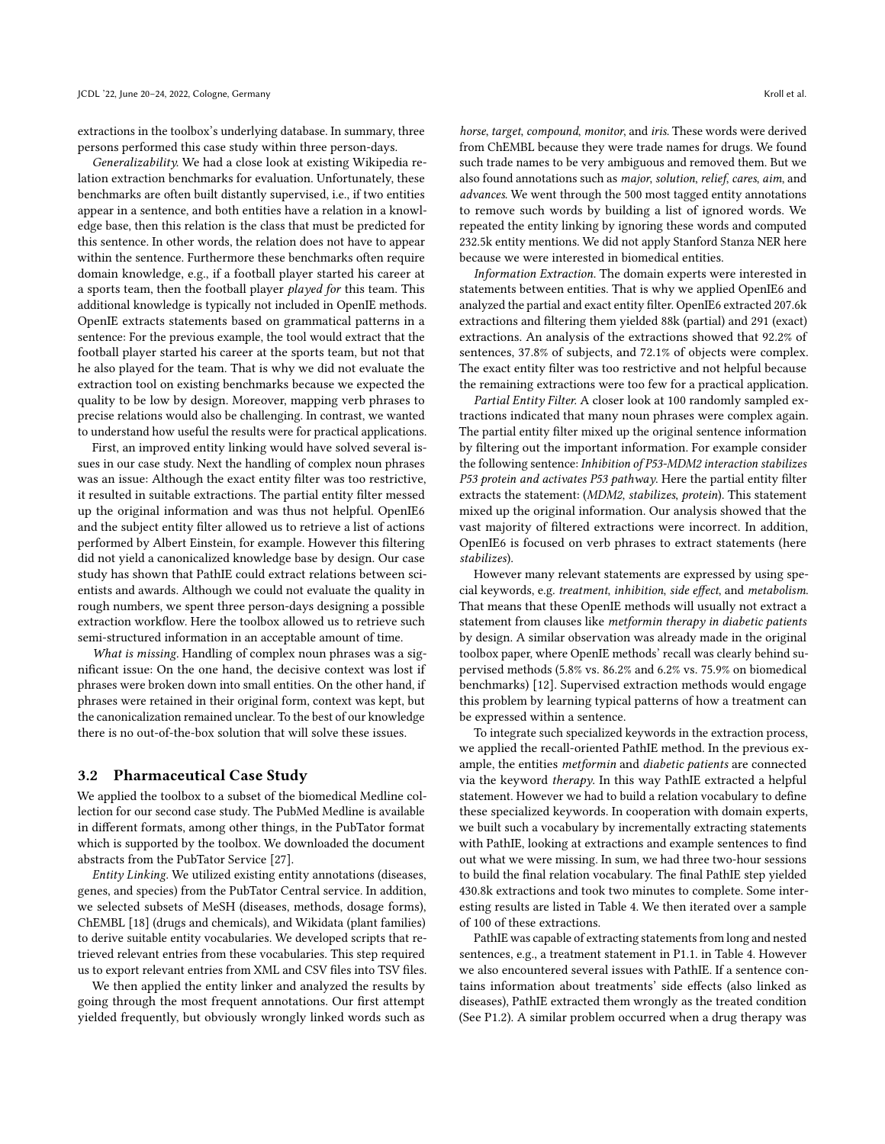extractions in the toolbox's underlying database. In summary, three persons performed this case study within three person-days.

Generalizability. We had a close look at existing Wikipedia relation extraction benchmarks for evaluation. Unfortunately, these benchmarks are often built distantly supervised, i.e., if two entities appear in a sentence, and both entities have a relation in a knowledge base, then this relation is the class that must be predicted for this sentence. In other words, the relation does not have to appear within the sentence. Furthermore these benchmarks often require domain knowledge, e.g., if a football player started his career at a sports team, then the football player played for this team. This additional knowledge is typically not included in OpenIE methods. OpenIE extracts statements based on grammatical patterns in a sentence: For the previous example, the tool would extract that the football player started his career at the sports team, but not that he also played for the team. That is why we did not evaluate the extraction tool on existing benchmarks because we expected the quality to be low by design. Moreover, mapping verb phrases to precise relations would also be challenging. In contrast, we wanted to understand how useful the results were for practical applications.

First, an improved entity linking would have solved several issues in our case study. Next the handling of complex noun phrases was an issue: Although the exact entity filter was too restrictive, it resulted in suitable extractions. The partial entity filter messed up the original information and was thus not helpful. OpenIE6 and the subject entity filter allowed us to retrieve a list of actions performed by Albert Einstein, for example. However this filtering did not yield a canonicalized knowledge base by design. Our case study has shown that PathIE could extract relations between scientists and awards. Although we could not evaluate the quality in rough numbers, we spent three person-days designing a possible extraction workflow. Here the toolbox allowed us to retrieve such semi-structured information in an acceptable amount of time.

What is missing. Handling of complex noun phrases was a significant issue: On the one hand, the decisive context was lost if phrases were broken down into small entities. On the other hand, if phrases were retained in their original form, context was kept, but the canonicalization remained unclear. To the best of our knowledge there is no out-of-the-box solution that will solve these issues.

#### 3.2 Pharmaceutical Case Study

We applied the toolbox to a subset of the biomedical Medline collection for our second case study. The PubMed Medline is available in different formats, among other things, in the PubTator format which is supported by the toolbox. We downloaded the document abstracts from the PubTator Service [\[27\]](#page-10-17).

Entity Linking. We utilized existing entity annotations (diseases, genes, and species) from the PubTator Central service. In addition, we selected subsets of MeSH (diseases, methods, dosage forms), ChEMBL [\[18\]](#page-10-18) (drugs and chemicals), and Wikidata (plant families) to derive suitable entity vocabularies. We developed scripts that retrieved relevant entries from these vocabularies. This step required us to export relevant entries from XML and CSV files into TSV files.

We then applied the entity linker and analyzed the results by going through the most frequent annotations. Our first attempt yielded frequently, but obviously wrongly linked words such as

horse, target, compound, monitor, and iris. These words were derived from ChEMBL because they were trade names for drugs. We found such trade names to be very ambiguous and removed them. But we also found annotations such as major, solution, relief, cares, aim, and advances. We went through the 500 most tagged entity annotations to remove such words by building a list of ignored words. We repeated the entity linking by ignoring these words and computed 232.5k entity mentions. We did not apply Stanford Stanza NER here because we were interested in biomedical entities.

Information Extraction. The domain experts were interested in statements between entities. That is why we applied OpenIE6 and analyzed the partial and exact entity filter. OpenIE6 extracted 207.6k extractions and filtering them yielded 88k (partial) and 291 (exact) extractions. An analysis of the extractions showed that 92.2% of sentences, 37.8% of subjects, and 72.1% of objects were complex. The exact entity filter was too restrictive and not helpful because the remaining extractions were too few for a practical application.

Partial Entity Filter. A closer look at 100 randomly sampled extractions indicated that many noun phrases were complex again. The partial entity filter mixed up the original sentence information by filtering out the important information. For example consider the following sentence: Inhibition of P53-MDM2 interaction stabilizes P53 protein and activates P53 pathway. Here the partial entity filter extracts the statement: (MDM2, stabilizes, protein). This statement mixed up the original information. Our analysis showed that the vast majority of filtered extractions were incorrect. In addition, OpenIE6 is focused on verb phrases to extract statements (here stabilizes).

However many relevant statements are expressed by using special keywords, e.g. treatment, inhibition, side effect, and metabolism. That means that these OpenIE methods will usually not extract a statement from clauses like metformin therapy in diabetic patients by design. A similar observation was already made in the original toolbox paper, where OpenIE methods' recall was clearly behind supervised methods (5.8% vs. 86.2% and 6.2% vs. 75.9% on biomedical benchmarks) [\[12\]](#page-10-9). Supervised extraction methods would engage this problem by learning typical patterns of how a treatment can be expressed within a sentence.

To integrate such specialized keywords in the extraction process, we applied the recall-oriented PathIE method. In the previous example, the entities metformin and diabetic patients are connected via the keyword therapy. In this way PathIE extracted a helpful statement. However we had to build a relation vocabulary to define these specialized keywords. In cooperation with domain experts, we built such a vocabulary by incrementally extracting statements with PathIE, looking at extractions and example sentences to find out what we were missing. In sum, we had three two-hour sessions to build the final relation vocabulary. The final PathIE step yielded 430.8k extractions and took two minutes to complete. Some interesting results are listed in Table [4.](#page-6-0) We then iterated over a sample of 100 of these extractions.

PathIE was capable of extracting statements from long and nested sentences, e.g., a treatment statement in P1.1. in Table [4.](#page-6-0) However we also encountered several issues with PathIE. If a sentence contains information about treatments' side effects (also linked as diseases), PathIE extracted them wrongly as the treated condition (See P1.2). A similar problem occurred when a drug therapy was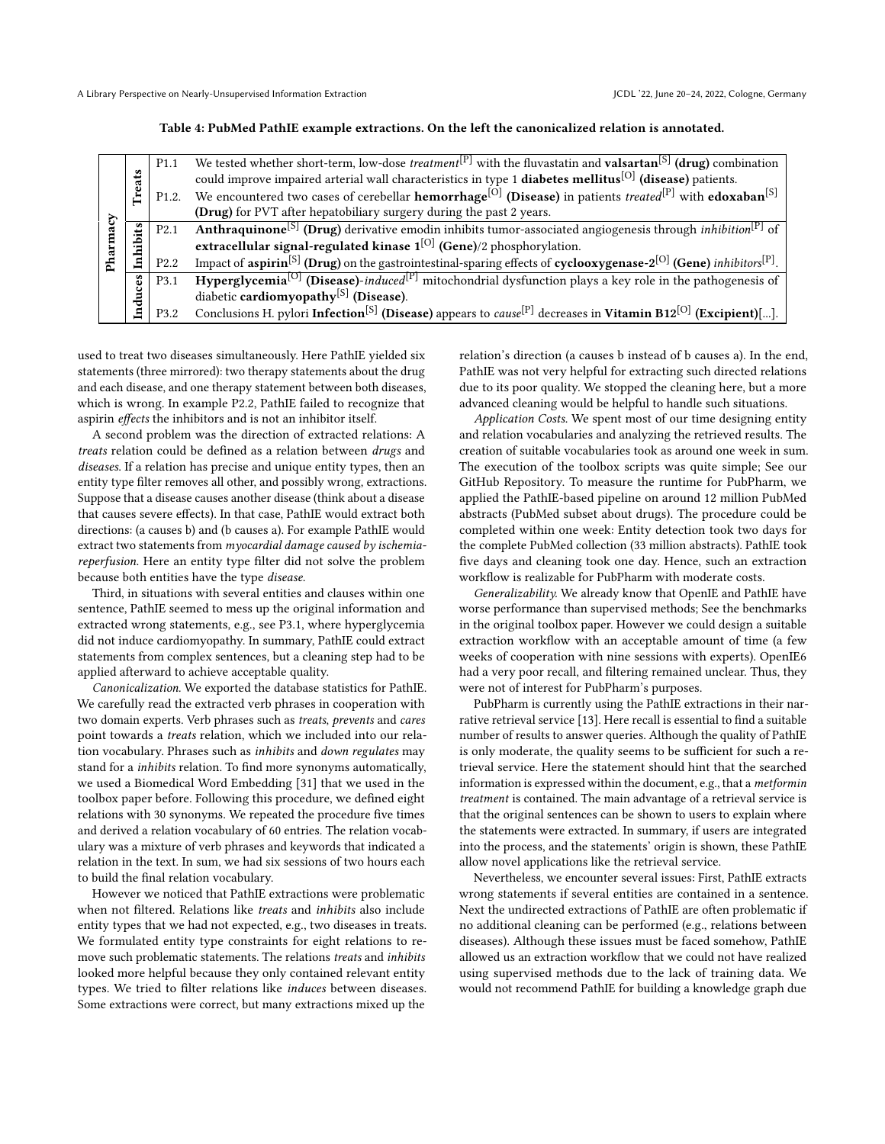#### Table 4: PubMed PathIE example extractions. On the left the canonicalized relation is annotated.

<span id="page-6-0"></span>

|       |          | P <sub>1.1</sub>   | We tested whether short-term, low-dose <i>treatment</i> <sup>[P]</sup> with the fluvastatin and <b>valsartan</b> <sup>[S]</sup> (drug) combination              |
|-------|----------|--------------------|-----------------------------------------------------------------------------------------------------------------------------------------------------------------|
|       |          |                    | could improve impaired arterial wall characteristics in type 1 diabetes mellitus <sup>[O]</sup> (disease) patients.                                             |
|       | Treats   | P <sub>1.2</sub> . | We encountered two cases of cerebellar <b>hemorrhage</b> <sup>[O]</sup> (Disease) in patients <i>treated</i> <sup>[P]</sup> with <b>edoxaban</b> <sup>[S]</sup> |
| ζ,    |          |                    | (Drug) for PVT after hepatobiliary surgery during the past 2 years.                                                                                             |
|       |          | P <sub>2.1</sub>   | <b>Anthraquinone</b> <sup>[S]</sup> (Drug) derivative emodin inhibits tumor-associated angiogenesis through <i>inhibition</i> <sup>[P]</sup> of                 |
|       | inhibits |                    | extracellular signal-regulated kinase $1^{[O]}$ (Gene)/2 phosphorylation.                                                                                       |
| Pharm |          | P <sub>2.2</sub>   | Impact of aspirin <sup>[S]</sup> (Drug) on the gastrointestinal-sparing effects of cyclooxygenase-2 <sup>[O]</sup> (Gene) inhibitors <sup>[P]</sup> .           |
|       |          | P3.1               | <b>Hyperglycemia</b> <sup>[O]</sup> (Disease)-induced <sup>[P]</sup> mitochondrial dysfunction plays a key role in the pathogenesis of                          |
|       | induces  |                    | diabetic cardiomyopathy <sup>[S]</sup> (Disease).                                                                                                               |
|       |          | P3.2               | Conclusions H. pylori Infection <sup>[S]</sup> (Disease) appears to <i>cause</i> <sup>[P]</sup> decreases in Vitamin B12 <sup>[O]</sup> (Excipient)[].          |

used to treat two diseases simultaneously. Here PathIE yielded six statements (three mirrored): two therapy statements about the drug and each disease, and one therapy statement between both diseases, which is wrong. In example P2.2, PathIE failed to recognize that aspirin effects the inhibitors and is not an inhibitor itself.

A second problem was the direction of extracted relations: A treats relation could be defined as a relation between drugs and diseases. If a relation has precise and unique entity types, then an entity type filter removes all other, and possibly wrong, extractions. Suppose that a disease causes another disease (think about a disease that causes severe effects). In that case, PathIE would extract both directions: (a causes b) and (b causes a). For example PathIE would extract two statements from myocardial damage caused by ischemiareperfusion. Here an entity type filter did not solve the problem because both entities have the type disease.

Third, in situations with several entities and clauses within one sentence, PathIE seemed to mess up the original information and extracted wrong statements, e.g., see P3.1, where hyperglycemia did not induce cardiomyopathy. In summary, PathIE could extract statements from complex sentences, but a cleaning step had to be applied afterward to achieve acceptable quality.

Canonicalization. We exported the database statistics for PathIE. We carefully read the extracted verb phrases in cooperation with two domain experts. Verb phrases such as treats, prevents and cares point towards a treats relation, which we included into our relation vocabulary. Phrases such as inhibits and down regulates may stand for a inhibits relation. To find more synonyms automatically, we used a Biomedical Word Embedding [\[31\]](#page-10-19) that we used in the toolbox paper before. Following this procedure, we defined eight relations with 30 synonyms. We repeated the procedure five times and derived a relation vocabulary of 60 entries. The relation vocabulary was a mixture of verb phrases and keywords that indicated a relation in the text. In sum, we had six sessions of two hours each to build the final relation vocabulary.

However we noticed that PathIE extractions were problematic when not filtered. Relations like treats and inhibits also include entity types that we had not expected, e.g., two diseases in treats. We formulated entity type constraints for eight relations to remove such problematic statements. The relations treats and inhibits looked more helpful because they only contained relevant entity types. We tried to filter relations like induces between diseases. Some extractions were correct, but many extractions mixed up the

relation's direction (a causes b instead of b causes a). In the end, PathIE was not very helpful for extracting such directed relations due to its poor quality. We stopped the cleaning here, but a more advanced cleaning would be helpful to handle such situations.

Application Costs. We spent most of our time designing entity and relation vocabularies and analyzing the retrieved results. The creation of suitable vocabularies took as around one week in sum. The execution of the toolbox scripts was quite simple; See our GitHub Repository. To measure the runtime for PubPharm, we applied the PathIE-based pipeline on around 12 million PubMed abstracts (PubMed subset about drugs). The procedure could be completed within one week: Entity detection took two days for the complete PubMed collection (33 million abstracts). PathIE took five days and cleaning took one day. Hence, such an extraction workflow is realizable for PubPharm with moderate costs.

Generalizability. We already know that OpenIE and PathIE have worse performance than supervised methods; See the benchmarks in the original toolbox paper. However we could design a suitable extraction workflow with an acceptable amount of time (a few weeks of cooperation with nine sessions with experts). OpenIE6 had a very poor recall, and filtering remained unclear. Thus, they were not of interest for PubPharm's purposes.

PubPharm is currently using the PathIE extractions in their narrative retrieval service [\[13\]](#page-10-20). Here recall is essential to find a suitable number of results to answer queries. Although the quality of PathIE is only moderate, the quality seems to be sufficient for such a retrieval service. Here the statement should hint that the searched information is expressed within the document, e.g., that a metformin treatment is contained. The main advantage of a retrieval service is that the original sentences can be shown to users to explain where the statements were extracted. In summary, if users are integrated into the process, and the statements' origin is shown, these PathIE allow novel applications like the retrieval service.

Nevertheless, we encounter several issues: First, PathIE extracts wrong statements if several entities are contained in a sentence. Next the undirected extractions of PathIE are often problematic if no additional cleaning can be performed (e.g., relations between diseases). Although these issues must be faced somehow, PathIE allowed us an extraction workflow that we could not have realized using supervised methods due to the lack of training data. We would not recommend PathIE for building a knowledge graph due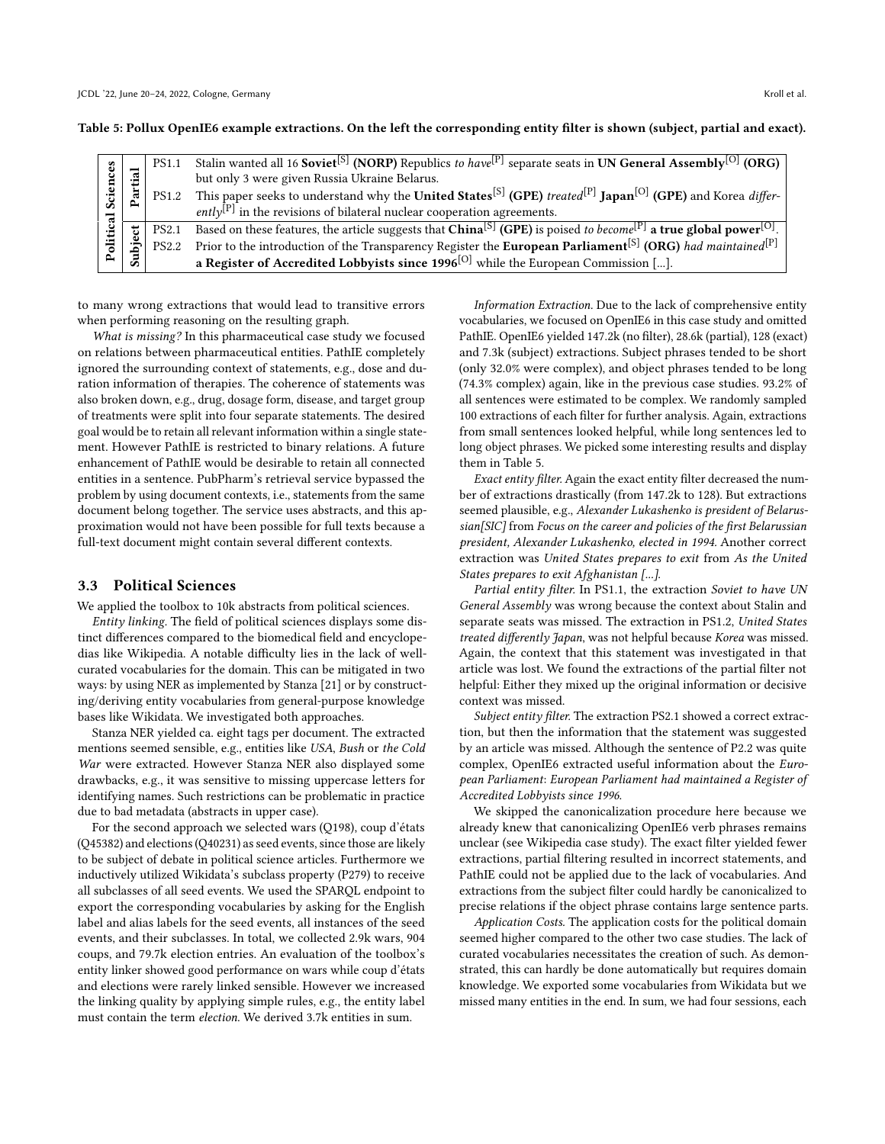<span id="page-7-0"></span>Table 5: Pollux OpenIE6 example extractions. On the left the corresponding entity filter is shown (subject, partial and exact).

|  |   | <b>PS1.1</b> | Stalin wanted all 16 Soviet <sup>[S]</sup> (NORP) Republics to have <sup>[P]</sup> separate seats in UN General Assembly <sup>[O]</sup> (ORG)         |
|--|---|--------------|-------------------------------------------------------------------------------------------------------------------------------------------------------|
|  | ∾ |              | but only 3 were given Russia Ukraine Belarus.                                                                                                         |
|  |   | <b>PS1.2</b> | This paper seeks to understand why the United States <sup>[S]</sup> (GPE) treated <sup>[P]</sup> Japan <sup>[O]</sup> (GPE) and Korea differ-         |
|  |   |              | ently <sup>[P]</sup> in the revisions of bilateral nuclear cooperation agreements.                                                                    |
|  |   | <b>PS2.1</b> | Based on these features, the article suggests that China <sup>[S]</sup> (GPE) is poised to become <sup>[P]</sup> a true global power <sup>[O]</sup> . |
|  |   | PS2.2        | Prior to the introduction of the Transparency Register the European Parliament <sup>[S]</sup> (ORG) had maintained <sup>[P]</sup>                     |
|  |   |              | a Register of Accredited Lobbyists since $1996^{[O]}$ while the European Commission [].                                                               |

to many wrong extractions that would lead to transitive errors when performing reasoning on the resulting graph.

What is missing? In this pharmaceutical case study we focused on relations between pharmaceutical entities. PathIE completely ignored the surrounding context of statements, e.g., dose and duration information of therapies. The coherence of statements was also broken down, e.g., drug, dosage form, disease, and target group of treatments were split into four separate statements. The desired goal would be to retain all relevant information within a single statement. However PathIE is restricted to binary relations. A future enhancement of PathIE would be desirable to retain all connected entities in a sentence. PubPharm's retrieval service bypassed the problem by using document contexts, i.e., statements from the same document belong together. The service uses abstracts, and this approximation would not have been possible for full texts because a full-text document might contain several different contexts.

#### 3.3 Political Sciences

We applied the toolbox to 10k abstracts from political sciences.

Entity linking. The field of political sciences displays some distinct differences compared to the biomedical field and encyclopedias like Wikipedia. A notable difficulty lies in the lack of wellcurated vocabularies for the domain. This can be mitigated in two ways: by using NER as implemented by Stanza [\[21\]](#page-10-11) or by constructing/deriving entity vocabularies from general-purpose knowledge bases like Wikidata. We investigated both approaches.

Stanza NER yielded ca. eight tags per document. The extracted mentions seemed sensible, e.g., entities like USA, Bush or the Cold War were extracted. However Stanza NER also displayed some drawbacks, e.g., it was sensitive to missing uppercase letters for identifying names. Such restrictions can be problematic in practice due to bad metadata (abstracts in upper case).

For the second approach we selected wars (Q198), coup d'états (Q45382) and elections (Q40231) as seed events, since those are likely to be subject of debate in political science articles. Furthermore we inductively utilized Wikidata's subclass property (P279) to receive all subclasses of all seed events. We used the SPARQL endpoint to export the corresponding vocabularies by asking for the English label and alias labels for the seed events, all instances of the seed events, and their subclasses. In total, we collected 2.9k wars, 904 coups, and 79.7k election entries. An evaluation of the toolbox's entity linker showed good performance on wars while coup d'états and elections were rarely linked sensible. However we increased the linking quality by applying simple rules, e.g., the entity label must contain the term election. We derived 3.7k entities in sum.

Information Extraction. Due to the lack of comprehensive entity vocabularies, we focused on OpenIE6 in this case study and omitted PathIE. OpenIE6 yielded 147.2k (no filter), 28.6k (partial), 128 (exact) and 7.3k (subject) extractions. Subject phrases tended to be short (only 32.0% were complex), and object phrases tended to be long (74.3% complex) again, like in the previous case studies. 93.2% of all sentences were estimated to be complex. We randomly sampled 100 extractions of each filter for further analysis. Again, extractions from small sentences looked helpful, while long sentences led to long object phrases. We picked some interesting results and display them in Table [5.](#page-7-0)

Exact entity filter. Again the exact entity filter decreased the number of extractions drastically (from 147.2k to 128). But extractions seemed plausible, e.g., Alexander Lukashenko is president of Belarussian[SIC] from Focus on the career and policies of the first Belarussian president, Alexander Lukashenko, elected in 1994. Another correct extraction was United States prepares to exit from As the United States prepares to exit Afghanistan [...].

Partial entity filter. In PS1.1, the extraction Soviet to have UN General Assembly was wrong because the context about Stalin and separate seats was missed. The extraction in PS1.2, United States treated differently Japan, was not helpful because Korea was missed. Again, the context that this statement was investigated in that article was lost. We found the extractions of the partial filter not helpful: Either they mixed up the original information or decisive context was missed.

Subject entity filter. The extraction PS2.1 showed a correct extraction, but then the information that the statement was suggested by an article was missed. Although the sentence of P2.2 was quite complex, OpenIE6 extracted useful information about the European Parliament: European Parliament had maintained a Register of Accredited Lobbyists since 1996.

We skipped the canonicalization procedure here because we already knew that canonicalizing OpenIE6 verb phrases remains unclear (see Wikipedia case study). The exact filter yielded fewer extractions, partial filtering resulted in incorrect statements, and PathIE could not be applied due to the lack of vocabularies. And extractions from the subject filter could hardly be canonicalized to precise relations if the object phrase contains large sentence parts.

Application Costs. The application costs for the political domain seemed higher compared to the other two case studies. The lack of curated vocabularies necessitates the creation of such. As demonstrated, this can hardly be done automatically but requires domain knowledge. We exported some vocabularies from Wikidata but we missed many entities in the end. In sum, we had four sessions, each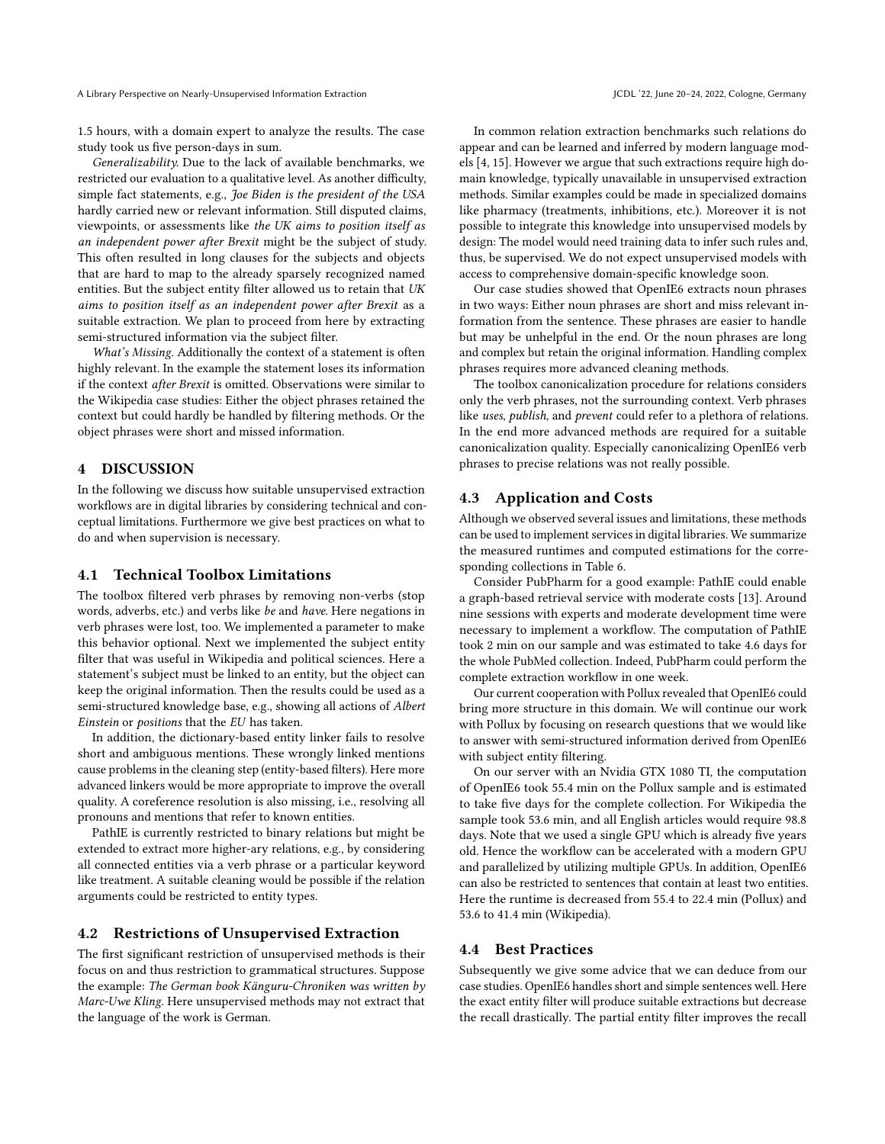A Library Perspective on Nearly-Unsupervised Information Extraction June 2008 and Section June 20–24, 2022, Cologne, Germany

1.5 hours, with a domain expert to analyze the results. The case study took us five person-days in sum.

Generalizability. Due to the lack of available benchmarks, we restricted our evaluation to a qualitative level. As another difficulty, simple fact statements, e.g., Joe Biden is the president of the USA hardly carried new or relevant information. Still disputed claims, viewpoints, or assessments like the UK aims to position itself as an independent power after Brexit might be the subject of study. This often resulted in long clauses for the subjects and objects that are hard to map to the already sparsely recognized named entities. But the subject entity filter allowed us to retain that UK aims to position itself as an independent power after Brexit as a suitable extraction. We plan to proceed from here by extracting semi-structured information via the subject filter.

What's Missing. Additionally the context of a statement is often highly relevant. In the example the statement loses its information if the context after Brexit is omitted. Observations were similar to the Wikipedia case studies: Either the object phrases retained the context but could hardly be handled by filtering methods. Or the object phrases were short and missed information.

# 4 DISCUSSION

In the following we discuss how suitable unsupervised extraction workflows are in digital libraries by considering technical and conceptual limitations. Furthermore we give best practices on what to do and when supervision is necessary.

#### 4.1 Technical Toolbox Limitations

The toolbox filtered verb phrases by removing non-verbs (stop words, adverbs, etc.) and verbs like be and have. Here negations in verb phrases were lost, too. We implemented a parameter to make this behavior optional. Next we implemented the subject entity filter that was useful in Wikipedia and political sciences. Here a statement's subject must be linked to an entity, but the object can keep the original information. Then the results could be used as a semi-structured knowledge base, e.g., showing all actions of Albert Einstein or positions that the EU has taken.

In addition, the dictionary-based entity linker fails to resolve short and ambiguous mentions. These wrongly linked mentions cause problems in the cleaning step (entity-based filters). Here more advanced linkers would be more appropriate to improve the overall quality. A coreference resolution is also missing, i.e., resolving all pronouns and mentions that refer to known entities.

PathIE is currently restricted to binary relations but might be extended to extract more higher-ary relations, e.g., by considering all connected entities via a verb phrase or a particular keyword like treatment. A suitable cleaning would be possible if the relation arguments could be restricted to entity types.

#### 4.2 Restrictions of Unsupervised Extraction

The first significant restriction of unsupervised methods is their focus on and thus restriction to grammatical structures. Suppose the example: The German book Känguru-Chroniken was written by Marc-Uwe Kling. Here unsupervised methods may not extract that the language of the work is German.

In common relation extraction benchmarks such relations do appear and can be learned and inferred by modern language models [\[4,](#page-10-21) [15\]](#page-10-22). However we argue that such extractions require high domain knowledge, typically unavailable in unsupervised extraction methods. Similar examples could be made in specialized domains like pharmacy (treatments, inhibitions, etc.). Moreover it is not possible to integrate this knowledge into unsupervised models by design: The model would need training data to infer such rules and, thus, be supervised. We do not expect unsupervised models with access to comprehensive domain-specific knowledge soon.

Our case studies showed that OpenIE6 extracts noun phrases in two ways: Either noun phrases are short and miss relevant information from the sentence. These phrases are easier to handle but may be unhelpful in the end. Or the noun phrases are long and complex but retain the original information. Handling complex phrases requires more advanced cleaning methods.

The toolbox canonicalization procedure for relations considers only the verb phrases, not the surrounding context. Verb phrases like uses, publish, and prevent could refer to a plethora of relations. In the end more advanced methods are required for a suitable canonicalization quality. Especially canonicalizing OpenIE6 verb phrases to precise relations was not really possible.

## 4.3 Application and Costs

Although we observed several issues and limitations, these methods can be used to implement services in digital libraries. We summarize the measured runtimes and computed estimations for the corresponding collections in Table [6.](#page-9-0)

Consider PubPharm for a good example: PathIE could enable a graph-based retrieval service with moderate costs [\[13\]](#page-10-20). Around nine sessions with experts and moderate development time were necessary to implement a workflow. The computation of PathIE took 2 min on our sample and was estimated to take 4.6 days for the whole PubMed collection. Indeed, PubPharm could perform the complete extraction workflow in one week.

Our current cooperation with Pollux revealed that OpenIE6 could bring more structure in this domain. We will continue our work with Pollux by focusing on research questions that we would like to answer with semi-structured information derived from OpenIE6 with subject entity filtering.

On our server with an Nvidia GTX 1080 TI, the computation of OpenIE6 took 55.4 min on the Pollux sample and is estimated to take five days for the complete collection. For Wikipedia the sample took 53.6 min, and all English articles would require 98.8 days. Note that we used a single GPU which is already five years old. Hence the workflow can be accelerated with a modern GPU and parallelized by utilizing multiple GPUs. In addition, OpenIE6 can also be restricted to sentences that contain at least two entities. Here the runtime is decreased from 55.4 to 22.4 min (Pollux) and 53.6 to 41.4 min (Wikipedia).

## 4.4 Best Practices

Subsequently we give some advice that we can deduce from our case studies. OpenIE6 handles short and simple sentences well. Here the exact entity filter will produce suitable extractions but decrease the recall drastically. The partial entity filter improves the recall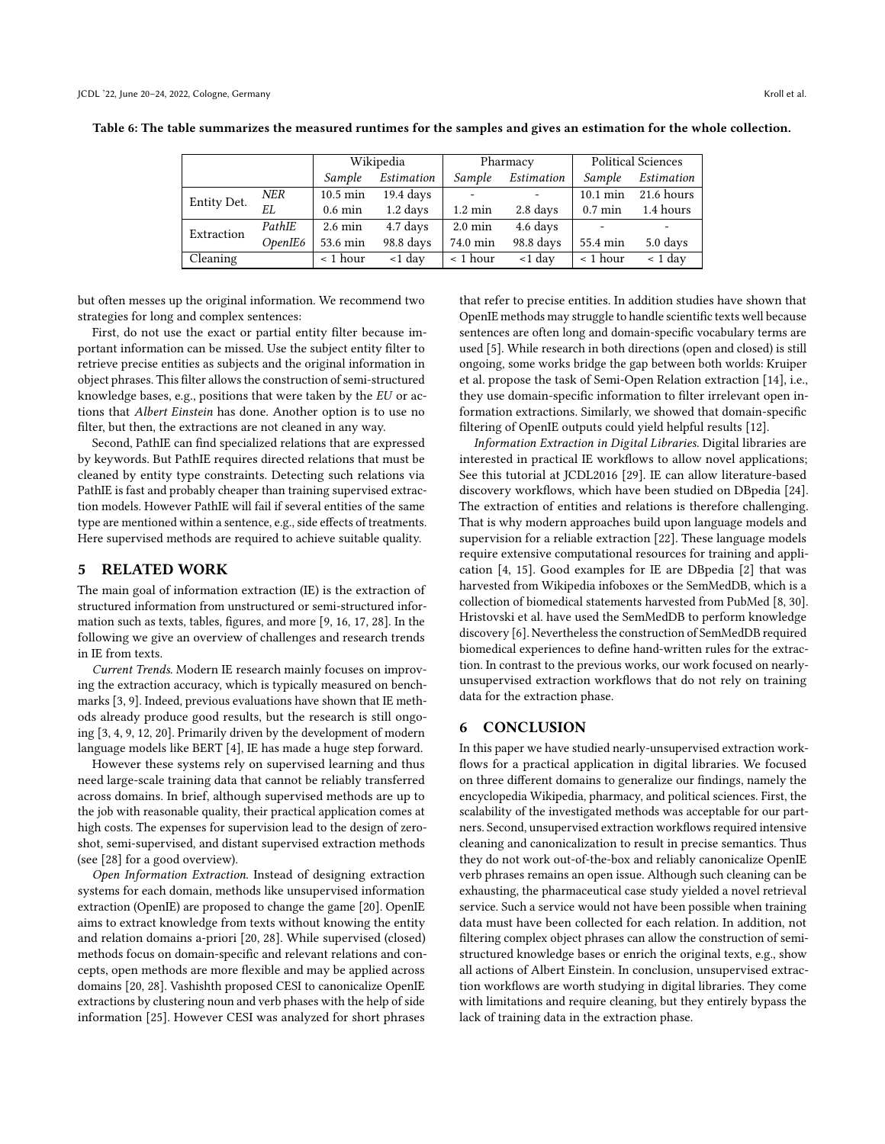|             |         | Wikipedia         |                      |                          | Pharmacy   | <b>Political Sciences</b> |            |
|-------------|---------|-------------------|----------------------|--------------------------|------------|---------------------------|------------|
|             |         | Sample            | Estimation           | Sample                   | Estimation | Sample                    | Estimation |
| Entity Det. | NER     | 10.5 min          | $19.4~\mathrm{days}$ | $\overline{\phantom{a}}$ |            | $10.1 \text{ min}$        | 21.6 hours |
|             | EL      | $0.6 \text{ min}$ | $1.2$ days           | $1.2 \text{ min}$        | 2.8 days   | $0.7 \text{ min}$         | 1.4 hours  |
| Extraction  | PathIE  | $2.6 \text{ min}$ | 4.7 days             | $2.0 \text{ min}$        | 4.6 days   |                           |            |
|             | OpenIE6 | 53.6 min          | 98.8 days            | 74.0 min                 | 98.8 days  | 55.4 min                  | 5.0 days   |
| Cleaning    |         | $\leq 1$ hour     | $<$ 1 day            | < 1 hour                 | $<$ 1 day  | $< 1$ hour                | $< 1$ day  |

<span id="page-9-0"></span>Table 6: The table summarizes the measured runtimes for the samples and gives an estimation for the whole collection.

but often messes up the original information. We recommend two strategies for long and complex sentences:

First, do not use the exact or partial entity filter because important information can be missed. Use the subject entity filter to retrieve precise entities as subjects and the original information in object phrases. This filter allows the construction of semi-structured knowledge bases, e.g., positions that were taken by the EU or actions that Albert Einstein has done. Another option is to use no filter, but then, the extractions are not cleaned in any way.

Second, PathIE can find specialized relations that are expressed by keywords. But PathIE requires directed relations that must be cleaned by entity type constraints. Detecting such relations via PathIE is fast and probably cheaper than training supervised extraction models. However PathIE will fail if several entities of the same type are mentioned within a sentence, e.g., side effects of treatments. Here supervised methods are required to achieve suitable quality.

#### 5 RELATED WORK

The main goal of information extraction (IE) is the extraction of structured information from unstructured or semi-structured information such as texts, tables, figures, and more [\[9,](#page-10-6) [16,](#page-10-23) [17,](#page-10-7) [28\]](#page-10-5). In the following we give an overview of challenges and research trends in IE from texts.

Current Trends. Modern IE research mainly focuses on improving the extraction accuracy, which is typically measured on benchmarks [\[3,](#page-10-24) [9\]](#page-10-6). Indeed, previous evaluations have shown that IE methods already produce good results, but the research is still ongoing [\[3,](#page-10-24) [4,](#page-10-21) [9,](#page-10-6) [12,](#page-10-9) [20\]](#page-10-25). Primarily driven by the development of modern language models like BERT [\[4\]](#page-10-21), IE has made a huge step forward.

However these systems rely on supervised learning and thus need large-scale training data that cannot be reliably transferred across domains. In brief, although supervised methods are up to the job with reasonable quality, their practical application comes at high costs. The expenses for supervision lead to the design of zeroshot, semi-supervised, and distant supervised extraction methods (see [\[28\]](#page-10-5) for a good overview).

Open Information Extraction. Instead of designing extraction systems for each domain, methods like unsupervised information extraction (OpenIE) are proposed to change the game [\[20\]](#page-10-25). OpenIE aims to extract knowledge from texts without knowing the entity and relation domains a-priori [\[20,](#page-10-25) [28\]](#page-10-5). While supervised (closed) methods focus on domain-specific and relevant relations and concepts, open methods are more flexible and may be applied across domains [\[20,](#page-10-25) [28\]](#page-10-5). Vashishth proposed CESI to canonicalize OpenIE extractions by clustering noun and verb phases with the help of side information [\[25\]](#page-10-8). However CESI was analyzed for short phrases

that refer to precise entities. In addition studies have shown that OpenIE methods may struggle to handle scientific texts well because sentences are often long and domain-specific vocabulary terms are used [\[5\]](#page-10-26). While research in both directions (open and closed) is still ongoing, some works bridge the gap between both worlds: Kruiper et al. propose the task of Semi-Open Relation extraction [\[14\]](#page-10-27), i.e., they use domain-specific information to filter irrelevant open information extractions. Similarly, we showed that domain-specific filtering of OpenIE outputs could yield helpful results [\[12\]](#page-10-9).

Information Extraction in Digital Libraries. Digital libraries are interested in practical IE workflows to allow novel applications; See this tutorial at JCDL2016 [\[29\]](#page-10-28). IE can allow literature-based discovery workflows, which have been studied on DBpedia [\[24\]](#page-10-2). The extraction of entities and relations is therefore challenging. That is why modern approaches build upon language models and supervision for a reliable extraction [\[22\]](#page-10-29). These language models require extensive computational resources for training and application [\[4,](#page-10-21) [15\]](#page-10-22). Good examples for IE are DBpedia [\[2\]](#page-10-1) that was harvested from Wikipedia infoboxes or the SemMedDB, which is a collection of biomedical statements harvested from PubMed [\[8,](#page-10-30) [30\]](#page-10-31). Hristovski et al. have used the SemMedDB to perform knowledge discovery [\[6\]](#page-10-4). Nevertheless the construction of SemMedDB required biomedical experiences to define hand-written rules for the extraction. In contrast to the previous works, our work focused on nearlyunsupervised extraction workflows that do not rely on training data for the extraction phase.

#### 6 CONCLUSION

In this paper we have studied nearly-unsupervised extraction workflows for a practical application in digital libraries. We focused on three different domains to generalize our findings, namely the encyclopedia Wikipedia, pharmacy, and political sciences. First, the scalability of the investigated methods was acceptable for our partners. Second, unsupervised extraction workflows required intensive cleaning and canonicalization to result in precise semantics. Thus they do not work out-of-the-box and reliably canonicalize OpenIE verb phrases remains an open issue. Although such cleaning can be exhausting, the pharmaceutical case study yielded a novel retrieval service. Such a service would not have been possible when training data must have been collected for each relation. In addition, not filtering complex object phrases can allow the construction of semistructured knowledge bases or enrich the original texts, e.g., show all actions of Albert Einstein. In conclusion, unsupervised extraction workflows are worth studying in digital libraries. They come with limitations and require cleaning, but they entirely bypass the lack of training data in the extraction phase.